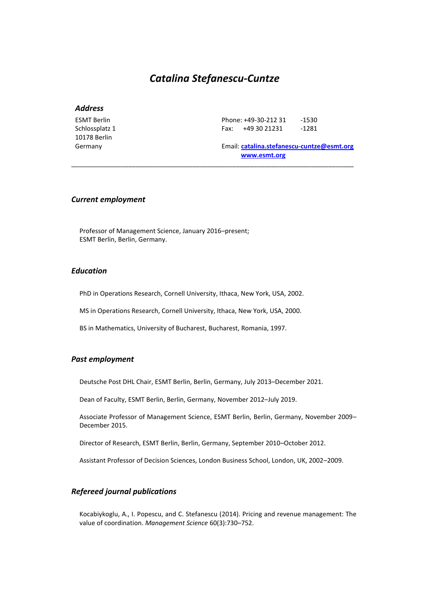# *Catalina Stefanescu-Cuntze*

\_\_\_\_\_\_\_\_\_\_\_\_\_\_\_\_\_\_\_\_\_\_\_\_\_\_\_\_\_\_\_\_\_\_\_\_\_\_\_\_\_\_\_\_\_\_\_\_\_\_\_\_\_\_\_\_\_\_\_\_\_\_\_\_\_\_\_\_\_\_\_\_\_\_\_\_\_\_\_

# *Address*

ESMT Berlin Schlossplatz 1 10178 Berlin Germany

Phone: +49-30-212 31 -1530 Fax: +49 30 21231 -1281

Email: **[catalina.stefanescu-cuntze@esmt.org](mailto:catalina.stefanescu-cuntze@esmt.org) [www.esmt.org](http://www.esmt.org/)**

### *Current employment*

Professor of Management Science, January 2016–present; ESMT Berlin, Berlin, Germany.

# *Education*

PhD in Operations Research, Cornell University, Ithaca, New York, USA, 2002.

MS in Operations Research, Cornell University, Ithaca, New York, USA, 2000.

BS in Mathematics, University of Bucharest, Bucharest, Romania, 1997.

### *Past employment*

Deutsche Post DHL Chair, ESMT Berlin, Berlin, Germany, July 2013–December 2021.

Dean of Faculty, ESMT Berlin, Berlin, Germany, November 2012–July 2019.

Associate Professor of Management Science, ESMT Berlin, Berlin, Germany, November 2009– December 2015.

Director of Research, ESMT Berlin, Berlin, Germany, September 2010–October 2012.

Assistant Professor of Decision Sciences, London Business School, London, UK, 2002–2009.

### *Refereed journal publications*

Kocabiykoglu, A., I. Popescu, and C. Stefanescu (2014). Pricing and revenue management: The value of coordination. *Management Science* 60(3):730–752.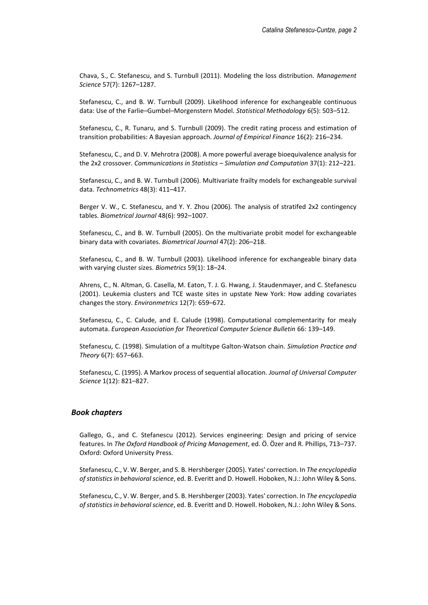Chava, S., C. Stefanescu, and S. Turnbull (2011). Modeling the loss distribution. *Management Science* 57(7): 1267–1287.

Stefanescu, C., and B. W. Turnbull (2009). Likelihood inference for exchangeable continuous data: Use of the Farlie–Gumbel–Morgenstern Model. *Statistical Methodology* 6(5): 503–512.

Stefanescu, C., R. Tunaru, and S. Turnbull (2009). The credit rating process and estimation of transition probabilities: A Bayesian approach. *Journal of Empirical Finance* 16(2): 216–234.

Stefanescu, C., and D. V. Mehrotra (2008). A more powerful average bioequivalence analysis for the 2x2 crossover. *Communications in Statistics – Simulation and Computation* 37(1): 212–221.

Stefanescu, C., and B. W. Turnbull (2006). Multivariate frailty models for exchangeable survival data. *Technometrics* 48(3): 411–417.

Berger V. W., C. Stefanescu, and Y. Y. Zhou (2006). The analysis of stratifed 2x2 contingency tables. *Biometrical Journal* 48(6): 992–1007.

Stefanescu, C., and B. W. Turnbull (2005). On the multivariate probit model for exchangeable binary data with covariates. *Biometrical Journal* 47(2): 206–218.

Stefanescu, C., and B. W. Turnbull (2003). Likelihood inference for exchangeable binary data with varying cluster sizes. *Biometrics* 59(1): 18–24.

Ahrens, C., N. Altman, G. Casella, M. Eaton, T. J. G. Hwang, J. Staudenmayer, and C. Stefanescu (2001). Leukemia clusters and TCE waste sites in upstate New York: How adding covariates changes the story. *Environmetrics* 12(7): 659–672.

Stefanescu, C., C. Calude, and E. Calude (1998). Computational complementarity for mealy automata. *European Association for Theoretical Computer Science Bulletin* 66: 139–149.

Stefanescu, C. (1998). Simulation of a multitype Galton-Watson chain. *Simulation Practice and Theory* 6(7): 657–663.

Stefanescu, C. (1995). A Markov process of sequential allocation. *Journal of Universal Computer Science* 1(12): 821–827.

### *Book chapters*

Gallego, G., and C. Stefanescu (2012). Services engineering: Design and pricing of service features. In *The Oxford Handbook of Pricing Management*, ed. Ö. Özer and R. Phillips, 713–737. Oxford: Oxford University Press.

Stefanescu, C., V. W. Berger, and S. B. Hershberger (2005). Yates' correction. In *The encyclopedia of statistics in behavioral science*, ed. B. Everitt and D. Howell. Hoboken, N.J.: John Wiley & Sons.

Stefanescu, C., V. W. Berger, and S. B. Hershberger (2003). Yates' correction. In *The encyclopedia of statistics in behavioral science*, ed. B. Everitt and D. Howell. Hoboken, N.J.: John Wiley & Sons.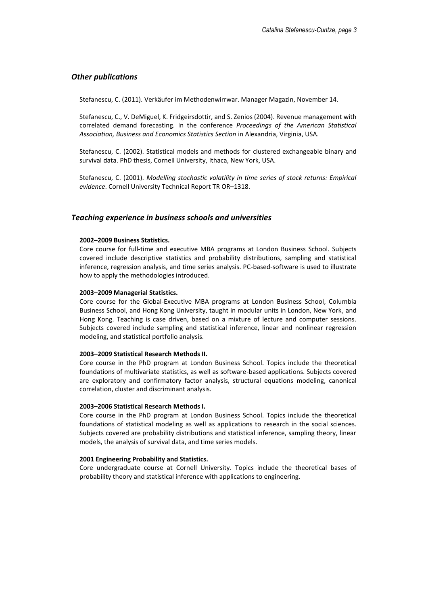### *Other publications*

Stefanescu, C. (2011). Verkäufer im Methodenwirrwar. Manager Magazin, November 14.

Stefanescu, C., V. DeMiguel, K. Fridgeirsdottir, and S. Zenios (2004). Revenue management with correlated demand forecasting. In the conference *Proceedings of the American Statistical Association, Business and Economics Statistics Section* in Alexandria, Virginia, USA.

Stefanescu, C. (2002). Statistical models and methods for clustered exchangeable binary and survival data. PhD thesis, Cornell University, Ithaca, New York, USA.

Stefanescu, C. (2001). *Modelling stochastic volatility in time series of stock returns: Empirical evidence*. Cornell University Technical Report TR OR–1318.

#### *Teaching experience in business schools and universities*

#### **2002–2009 Business Statistics.**

Core course for full-time and executive MBA programs at London Business School. Subjects covered include descriptive statistics and probability distributions, sampling and statistical inference, regression analysis, and time series analysis. PC-based-software is used to illustrate how to apply the methodologies introduced.

#### **2003–2009 Managerial Statistics.**

Core course for the Global-Executive MBA programs at London Business School, Columbia Business School, and Hong Kong University, taught in modular units in London, New York, and Hong Kong. Teaching is case driven, based on a mixture of lecture and computer sessions. Subjects covered include sampling and statistical inference, linear and nonlinear regression modeling, and statistical portfolio analysis.

#### **2003–2009 Statistical Research Methods II.**

Core course in the PhD program at London Business School. Topics include the theoretical foundations of multivariate statistics, as well as software-based applications. Subjects covered are exploratory and confirmatory factor analysis, structural equations modeling, canonical correlation, cluster and discriminant analysis.

#### **2003–2006 Statistical Research Methods I.**

Core course in the PhD program at London Business School. Topics include the theoretical foundations of statistical modeling as well as applications to research in the social sciences. Subjects covered are probability distributions and statistical inference, sampling theory, linear models, the analysis of survival data, and time series models.

#### **2001 Engineering Probability and Statistics.**

Core undergraduate course at Cornell University. Topics include the theoretical bases of probability theory and statistical inference with applications to engineering.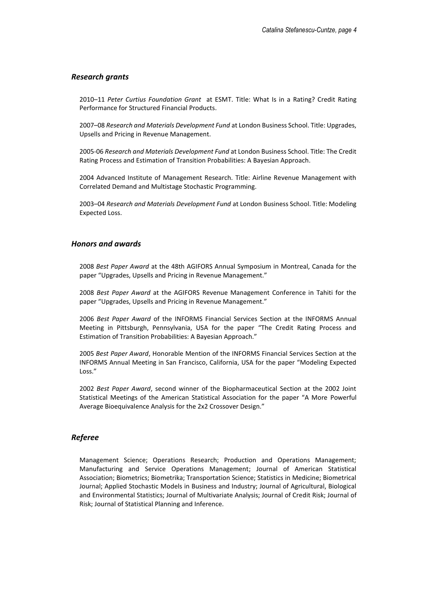### *Research grants*

2010–11 *Peter Curtius Foundation Grant* at ESMT. Title: What Is in a Rating? Credit Rating Performance for Structured Financial Products.

2007–08 *Research and Materials Development Fund* at London Business School. Title: Upgrades, Upsells and Pricing in Revenue Management.

2005-06 *Research and Materials Development Fund* at London Business School. Title: The Credit Rating Process and Estimation of Transition Probabilities: A Bayesian Approach.

2004 Advanced Institute of Management Research. Title: Airline Revenue Management with Correlated Demand and Multistage Stochastic Programming.

2003–04 *Research and Materials Development Fund* at London Business School. Title: Modeling Expected Loss.

#### *Honors and awards*

2008 *Best Paper Award* at the 48th AGIFORS Annual Symposium in Montreal, Canada for the paper "Upgrades, Upsells and Pricing in Revenue Management."

2008 *Best Paper Award* at the AGIFORS Revenue Management Conference in Tahiti for the paper "Upgrades, Upsells and Pricing in Revenue Management."

2006 *Best Paper Award* of the INFORMS Financial Services Section at the INFORMS Annual Meeting in Pittsburgh, Pennsylvania, USA for the paper "The Credit Rating Process and Estimation of Transition Probabilities: A Bayesian Approach."

2005 *Best Paper Award*, Honorable Mention of the INFORMS Financial Services Section at the INFORMS Annual Meeting in San Francisco, California, USA for the paper "Modeling Expected Loss."

2002 *Best Paper Award*, second winner of the Biopharmaceutical Section at the 2002 Joint Statistical Meetings of the American Statistical Association for the paper "A More Powerful Average Bioequivalence Analysis for the 2x2 Crossover Design."

### *Referee*

Management Science; Operations Research; Production and Operations Management; Manufacturing and Service Operations Management; Journal of American Statistical Association; Biometrics; Biometrika; Transportation Science; Statistics in Medicine; Biometrical Journal; Applied Stochastic Models in Business and Industry; Journal of Agricultural, Biological and Environmental Statistics; Journal of Multivariate Analysis; Journal of Credit Risk; Journal of Risk; Journal of Statistical Planning and Inference.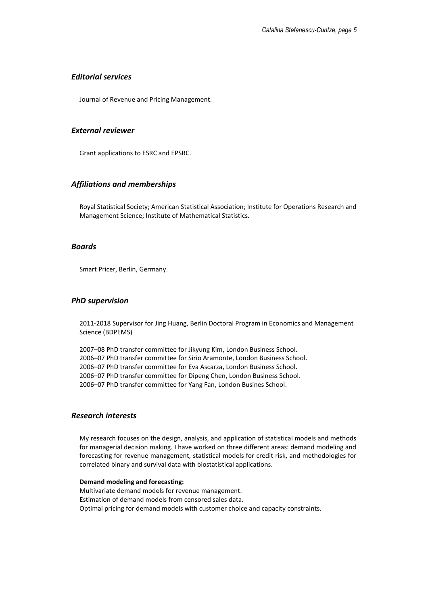### *Editorial services*

Journal of Revenue and Pricing Management.

# *External reviewer*

Grant applications to ESRC and EPSRC.

# *Affiliations and memberships*

Royal Statistical Society; American Statistical Association; Institute for Operations Research and Management Science; Institute of Mathematical Statistics.

#### *Boards*

Smart Pricer, Berlin, Germany.

### *PhD supervision*

2011-2018 Supervisor for Jing Huang, Berlin Doctoral Program in Economics and Management Science (BDPEMS)

–08 PhD transfer committee for Jikyung Kim, London Business School. –07 PhD transfer committee for Sirio Aramonte, London Business School. –07 PhD transfer committee for Eva Ascarza, London Business School. –07 PhD transfer committee for Dipeng Chen, London Business School. –07 PhD transfer committee for Yang Fan, London Busines School.

## *Research interests*

My research focuses on the design, analysis, and application of statistical models and methods for managerial decision making. I have worked on three different areas: demand modeling and forecasting for revenue management, statistical models for credit risk, and methodologies for correlated binary and survival data with biostatistical applications.

#### **Demand modeling and forecasting:**

Multivariate demand models for revenue management. Estimation of demand models from censored sales data. Optimal pricing for demand models with customer choice and capacity constraints.